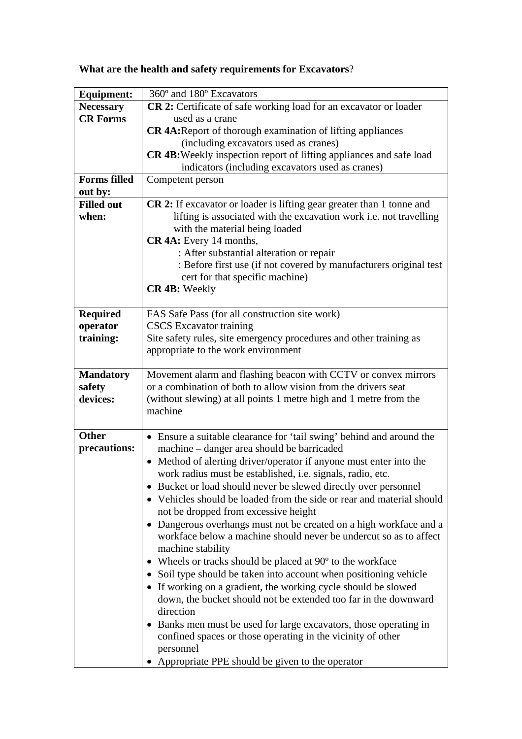| What are the health and safety requirements for Excavators? |  |  |
|-------------------------------------------------------------|--|--|
|-------------------------------------------------------------|--|--|

| <b>Equipment:</b>   | 360° and 180° Excavators                                                      |  |
|---------------------|-------------------------------------------------------------------------------|--|
| <b>Necessary</b>    | <b>CR 2:</b> Certificate of safe working load for an excavator or loader      |  |
| <b>CR Forms</b>     | used as a crane                                                               |  |
|                     | <b>CR 4A:</b> Report of thorough examination of lifting appliances            |  |
|                     | (including excavators used as cranes)                                         |  |
|                     | CR 4B: Weekly inspection report of lifting appliances and safe load           |  |
|                     | indicators (including excavators used as cranes)                              |  |
| <b>Forms filled</b> | Competent person                                                              |  |
| out by:             |                                                                               |  |
| <b>Filled out</b>   | <b>CR 2:</b> If excavator or loader is lifting gear greater than 1 tonne and  |  |
| when:               | lifting is associated with the excavation work i.e. not travelling            |  |
|                     | with the material being loaded                                                |  |
|                     | CR 4A: Every 14 months,                                                       |  |
|                     | : After substantial alteration or repair                                      |  |
|                     | : Before first use (if not covered by manufacturers original test             |  |
|                     | cert for that specific machine)                                               |  |
|                     | CR 4B: Weekly                                                                 |  |
|                     |                                                                               |  |
| <b>Required</b>     | FAS Safe Pass (for all construction site work)                                |  |
| operator            | <b>CSCS</b> Excavator training                                                |  |
| training:           | Site safety rules, site emergency procedures and other training as            |  |
|                     | appropriate to the work environment                                           |  |
|                     |                                                                               |  |
| <b>Mandatory</b>    | Movement alarm and flashing beacon with CCTV or convex mirrors                |  |
| safety              | or a combination of both to allow vision from the drivers seat                |  |
| devices:            | (without slewing) at all points 1 metre high and 1 metre from the             |  |
|                     | machine                                                                       |  |
|                     |                                                                               |  |
| <b>Other</b>        | • Ensure a suitable clearance for 'tail swing' behind and around the          |  |
| precautions:        | machine – danger area should be barricaded                                    |  |
|                     | Method of alerting driver/operator if anyone must enter into the<br>$\bullet$ |  |
|                     | work radius must be established, i.e. signals, radio, etc.                    |  |
|                     | Bucket or load should never be slewed directly over personnel                 |  |
|                     | • Vehicles should be loaded from the side or rear and material should         |  |
|                     | not be dropped from excessive height                                          |  |
|                     | Dangerous overhangs must not be created on a high workface and a              |  |
|                     | workface below a machine should never be undercut so as to affect             |  |
|                     | machine stability                                                             |  |
|                     | Wheels or tracks should be placed at 90 <sup>o</sup> to the workface          |  |
|                     | Soil type should be taken into account when positioning vehicle<br>$\bullet$  |  |
|                     | • If working on a gradient, the working cycle should be slowed                |  |
|                     | down, the bucket should not be extended too far in the downward               |  |
|                     | direction                                                                     |  |
|                     | Banks men must be used for large excavators, those operating in               |  |
|                     | confined spaces or those operating in the vicinity of other                   |  |
|                     | personnel                                                                     |  |
|                     | Appropriate PPE should be given to the operator                               |  |